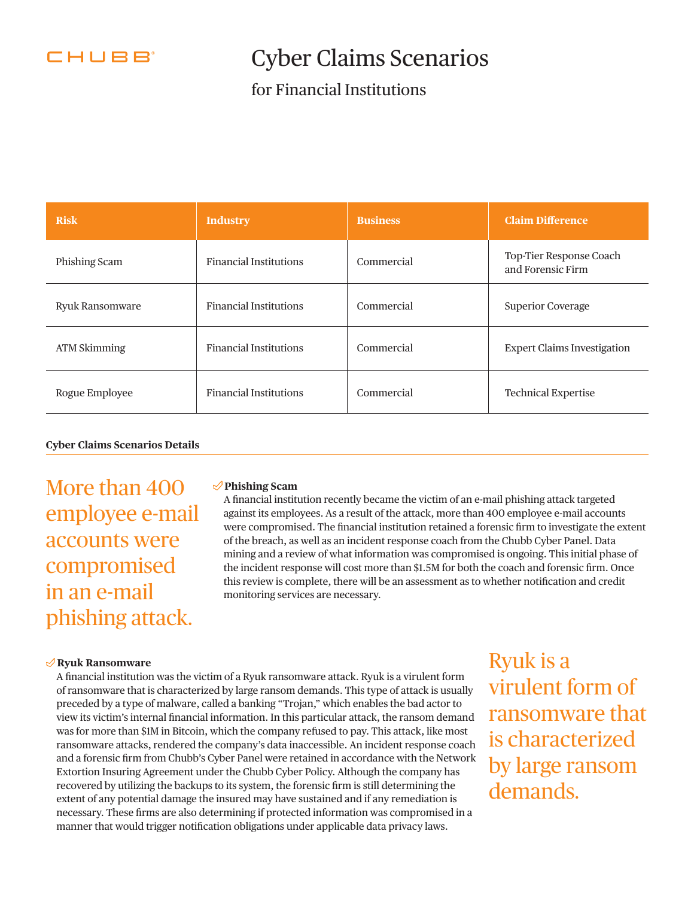

# Cyber Claims Scenarios

### for Financial Institutions

| <b>Risk</b>         | <b>Industry</b>               | <b>Business</b> | <b>Claim Difference</b>                      |
|---------------------|-------------------------------|-----------------|----------------------------------------------|
| Phishing Scam       | <b>Financial Institutions</b> | Commercial      | Top-Tier Response Coach<br>and Forensic Firm |
| Ryuk Ransomware     | <b>Financial Institutions</b> | Commercial      | <b>Superior Coverage</b>                     |
| <b>ATM Skimming</b> | <b>Financial Institutions</b> | Commercial      | <b>Expert Claims Investigation</b>           |
| Rogue Employee      | <b>Financial Institutions</b> | Commercial      | <b>Technical Expertise</b>                   |

#### **Cyber Claims Scenarios Details**

More than 400 employee e-mail accounts were compromised in an e-mail phishing attack.

#### **Phishing Scam**

A fnancial institution recently became the victim of an e-mail phishing attack targeted against its employees. As a result of the attack, more than 400 employee e-mail accounts were compromised. The fnancial institution retained a forensic frm to investigate the extent of the breach, as well as an incident response coach from the Chubb Cyber Panel. Data mining and a review of what information was compromised is ongoing. This initial phase of the incident response will cost more than \$1.5M for both the coach and forensic frm. Once this review is complete, there will be an assessment as to whether notifcation and credit monitoring services are necessary.

#### **Ryuk Ransomware**

A fnancial institution was the victim of a Ryuk ransomware attack. Ryuk is a virulent form of ransomware that is characterized by large ransom demands. This type of attack is usually preceded by a type of malware, called a banking "Trojan," which enables the bad actor to view its victim's internal fnancial information. In this particular attack, the ransom demand was for more than \$1M in Bitcoin, which the company refused to pay. This attack, like most ransomware attacks, rendered the company's data inaccessible. An incident response coach and a forensic frm from Chubb's Cyber Panel were retained in accordance with the Network Extortion Insuring Agreement under the Chubb Cyber Policy. Although the company has recovered by utilizing the backups to its system, the forensic frm is still determining the extent of any potential damage the insured may have sustained and if any remediation is necessary. These frms are also determining if protected information was compromised in a manner that would trigger notifcation obligations under applicable data privacy laws.

Ryuk is a virulent form of ransomware that is characterized by large ransom demands.